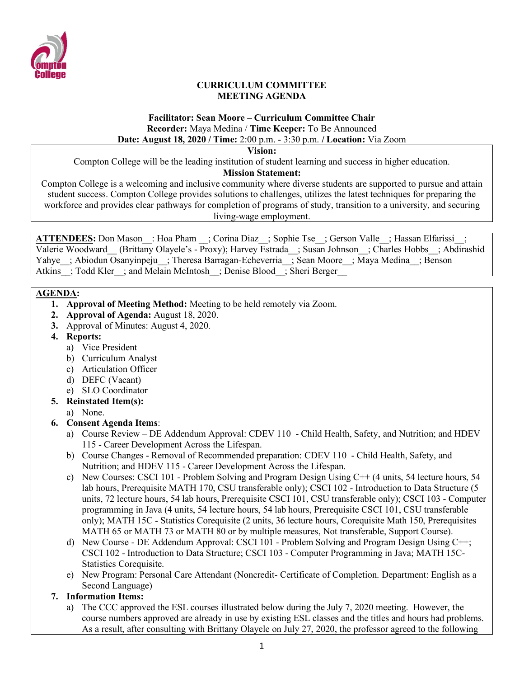

### **CURRICULUM COMMITTEE MEETING AGENDA**

# **Facilitator: Sean Moore – Curriculum Committee Chair Recorder:** Maya Medina / **Time Keeper:** To Be Announced

# **Date: August 18, 2020 / Time:** 2:00 p.m. - 3:30 p.m. **/ Location:** Via Zoom

**Vision:**

Compton College will be the leading institution of student learning and success in higher education.

## **Mission Statement:**

Compton College is a welcoming and inclusive community where diverse students are supported to pursue and attain student success. Compton College provides solutions to challenges, utilizes the latest techniques for preparing the workforce and provides clear pathways for completion of programs of study, transition to a university, and securing living-wage employment.

ATTENDEES: Don Mason : Hoa Pham ; Corina Diaz ; Sophie Tse ; Gerson Valle ; Hassan Elfarissi ; Valerie Woodward (Brittany Olayele's - Proxy); Harvey Estrada ; Susan Johnson ; Charles Hobbs ; Abdirashid Yahye\_; Abiodun Osanyinpeju\_; Theresa Barragan-Echeverria\_; Sean Moore\_; Maya Medina\_; Benson Atkins : Todd Kler ; and Melain McIntosh ; Denise Blood ; Sheri Berger

## **AGENDA:**

- **1. Approval of Meeting Method:** Meeting to be held remotely via Zoom.
- **2. Approval of Agenda:** August 18, 2020.
- **3.** Approval of Minutes: August 4, 2020.
- **4. Reports:**
	- a) Vice President
	- b) Curriculum Analyst
	- c) Articulation Officer
	- d) DEFC (Vacant)
	- e) SLO Coordinator

## **5. Reinstated Item(s):**

a) None.

# **6. Consent Agenda Items**:

- a) Course Review DE Addendum Approval: CDEV 110 Child Health, Safety, and Nutrition; and HDEV 115 - Career Development Across the Lifespan.
- b) Course Changes Removal of Recommended preparation: CDEV 110 Child Health, Safety, and Nutrition; and HDEV 115 - Career Development Across the Lifespan.
- c) New Courses: CSCI 101 Problem Solving and Program Design Using C++ (4 units, 54 lecture hours, 54 lab hours, Prerequisite MATH 170, CSU transferable only); CSCI 102 - Introduction to Data Structure (5 units, 72 lecture hours, 54 lab hours, Prerequisite CSCI 101, CSU transferable only); CSCI 103 - Computer programming in Java (4 units, 54 lecture hours, 54 lab hours, Prerequisite CSCI 101, CSU transferable only); MATH 15C - Statistics Corequisite (2 units, 36 lecture hours, Corequisite Math 150, Prerequisites MATH 65 or MATH 73 or MATH 80 or by multiple measures, Not transferable, Support Course).
- d) New Course DE Addendum Approval: CSCI 101 Problem Solving and Program Design Using C++; CSCI 102 - Introduction to Data Structure; CSCI 103 - Computer Programming in Java; MATH 15C-Statistics Corequisite.
- e) New Program: Personal Care Attendant (Noncredit- Certificate of Completion. Department: English as a Second Language)

## **7. Information Items:**

a) The CCC approved the ESL courses illustrated below during the July 7, 2020 meeting. However, the course numbers approved are already in use by existing ESL classes and the titles and hours had problems. As a result, after consulting with Brittany Olayele on July 27, 2020, the professor agreed to the following